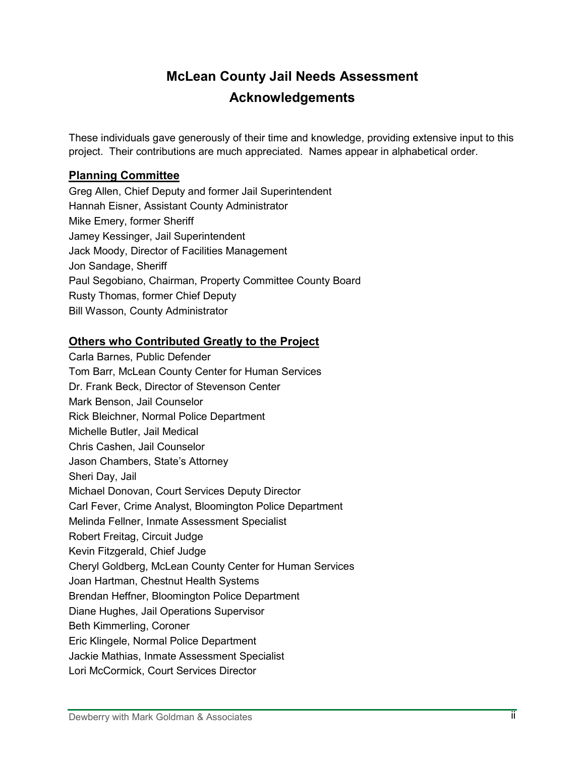## **McLean County Jail Needs Assessment Acknowledgements**

These individuals gave generously of their time and knowledge, providing extensive input to this project. Their contributions are much appreciated. Names appear in alphabetical order.

## **Planning Committee**

Greg Allen, Chief Deputy and former Jail Superintendent Hannah Eisner, Assistant County Administrator Mike Emery, former Sheriff Jamey Kessinger, Jail Superintendent Jack Moody, Director of Facilities Management Jon Sandage, Sheriff Paul Segobiano, Chairman, Property Committee County Board Rusty Thomas, former Chief Deputy Bill Wasson, County Administrator

## **Others who Contributed Greatly to the Project**

Carla Barnes, Public Defender Tom Barr, McLean County Center for Human Services Dr. Frank Beck, Director of Stevenson Center Mark Benson, Jail Counselor Rick Bleichner, Normal Police Department Michelle Butler, Jail Medical Chris Cashen, Jail Counselor Jason Chambers, State's Attorney Sheri Day, Jail Michael Donovan, Court Services Deputy Director Carl Fever, Crime Analyst, Bloomington Police Department Melinda Fellner, Inmate Assessment Specialist Robert Freitag, Circuit Judge Kevin Fitzgerald, Chief Judge Cheryl Goldberg, McLean County Center for Human Services Joan Hartman, Chestnut Health Systems Brendan Heffner, Bloomington Police Department Diane Hughes, Jail Operations Supervisor Beth Kimmerling, Coroner Eric Klingele, Normal Police Department Jackie Mathias, Inmate Assessment Specialist Lori McCormick, Court Services Director